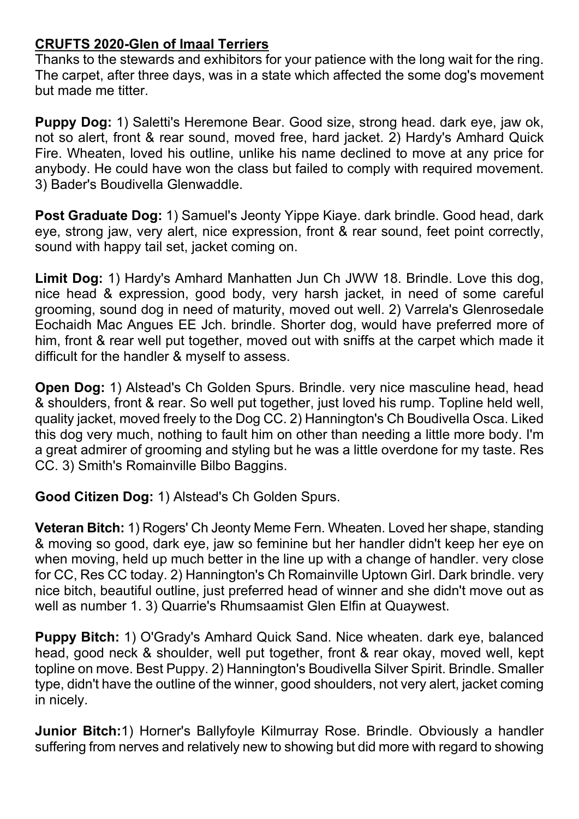## **CRUFTS 2020-Glen of Imaal Terriers**

Thanks to the stewards and exhibitors for your patience with the long wait for the ring. The carpet, after three days, was in a state which affected the some dog's movement but made me titter.

**Puppy Dog:** 1) Saletti's Heremone Bear. Good size, strong head. dark eye, jaw ok, not so alert, front & rear sound, moved free, hard jacket. 2) Hardy's Amhard Quick Fire. Wheaten, loved his outline, unlike his name declined to move at any price for anybody. He could have won the class but failed to comply with required movement. 3) Bader's Boudivella Glenwaddle.

**Post Graduate Dog:** 1) Samuel's Jeonty Yippe Kiaye. dark brindle. Good head, dark eye, strong jaw, very alert, nice expression, front & rear sound, feet point correctly, sound with happy tail set, jacket coming on.

**Limit Dog:** 1) Hardy's Amhard Manhatten Jun Ch JWW 18. Brindle. Love this dog, nice head & expression, good body, very harsh jacket, in need of some careful grooming, sound dog in need of maturity, moved out well. 2) Varrela's Glenrosedale Eochaidh Mac Angues EE Jch. brindle. Shorter dog, would have preferred more of him, front & rear well put together, moved out with sniffs at the carpet which made it difficult for the handler & myself to assess.

**Open Dog:** 1) Alstead's Ch Golden Spurs. Brindle. very nice masculine head, head & shoulders, front & rear. So well put together, just loved his rump. Topline held well, quality jacket, moved freely to the Dog CC. 2) Hannington's Ch Boudivella Osca. Liked this dog very much, nothing to fault him on other than needing a little more body. I'm a great admirer of grooming and styling but he was a little overdone for my taste. Res CC. 3) Smith's Romainville Bilbo Baggins.

**Good Citizen Dog:** 1) Alstead's Ch Golden Spurs.

**Veteran Bitch:** 1) Rogers' Ch Jeonty Meme Fern. Wheaten. Loved her shape, standing & moving so good, dark eye, jaw so feminine but her handler didn't keep her eye on when moving, held up much better in the line up with a change of handler, very close for CC, Res CC today. 2) Hannington's Ch Romainville Uptown Girl. Dark brindle. very nice bitch, beautiful outline, just preferred head of winner and she didn't move out as well as number 1. 3) Quarrie's Rhumsaamist Glen Elfin at Quaywest.

**Puppy Bitch:** 1) O'Grady's Amhard Quick Sand. Nice wheaten. dark eye, balanced head, good neck & shoulder, well put together, front & rear okay, moved well, kept topline on move. Best Puppy. 2) Hannington's Boudivella Silver Spirit. Brindle. Smaller type, didn't have the outline of the winner, good shoulders, not very alert, jacket coming in nicely.

**Junior Bitch:**1) Horner's Ballyfoyle Kilmurray Rose. Brindle. Obviously a handler suffering from nerves and relatively new to showing but did more with regard to showing